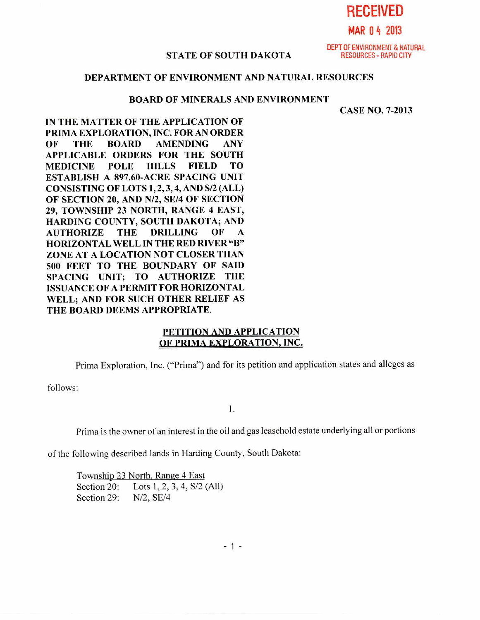**RECEIVED** 

# **MAR 0 4 2013**

#### **STATE OF SOUTH DAKOTA RESOURCES - RAPID CITY**

DEPT OF ENVIRONMENT & NATURAL

## **DEPARTMENT OF ENVIRONMENT AND NATURAL RESOURCES**

#### **BOARD OF MINERALS AND ENVIRONMENT**

**CASE NO. 7-2013** 

**IN THE MATTER OF THE APPLICATION OF PRIMA EXPLORATION, INC. FOR AN ORDER OF THE BOARD AMENDING ANY APPLICABLE ORDERS FOR THE SOUTH MEDICINE POLE HILLS FIELD TO ESTABLISH A 897.60-ACRE SPACING UNIT CONSISTING OF LOTS 1, 2, 3, 4, AND S/2 (ALL) OF SECTION 20, AND N/2, SE/4 OF SECTION 29, TOWNSHIP 23 NORTH, RANGE 4 EAST, HARDING COUNTY, SOUTH DAKOTA; AND AUTHORIZE THE DRILLING OF A HORIZONTAL WELL IN THE RED RIVER "B" ZONE AT A LOCATION NOT CLOSER THAN 500 FEET TO THE BOUNDARY OF SAID SPACING UNIT; TO AUTHORIZE THE ISSUANCE OF A PERMIT FOR HORIZONTAL WELL; AND FOR SUCH OTHER RELIEF AS THE BOARD DEEMS APPROPRIATE.** 

### **PETITION AND APPLICATION OF PRIMA EXPLORATION, INC.**

Prima Exploration, Inc. ("Prima") and for its petition and application states and alleges as

follows:

1.

Prima is the owner of an interest in the oil and gas leasehold estate underlying all or portions

of the following described lands in Harding County, South Dakota:

Township 23 North, Range 4 East Section 20: Lots 1, 2, 3, 4, S/2 (All) Section 29: N/2, SE/4

 $-1 -$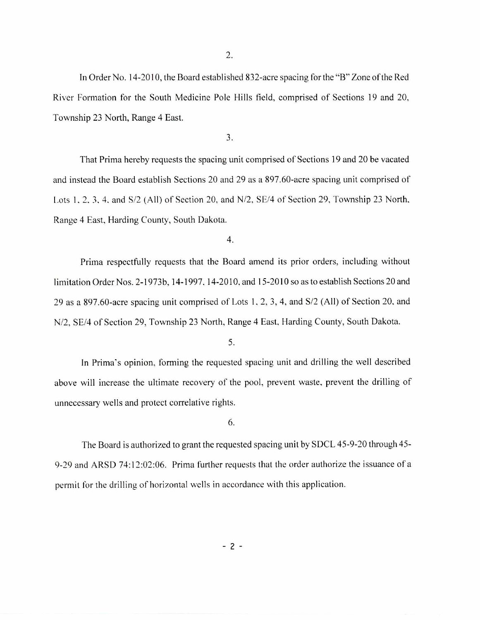2.

In Order No. 14-2010, the Board established 832-acre spacing for the **"B"** Zone of the Red River Formation for the South Medicine Pole Hills field, comprised of Sections 19 and 20, Township 23 North, Range 4 East.

3.

That Prima hereby requests the spacing unit comprised of Sections 19 and 20 be vacated and instead the Board establish Sections 20 and 29 as a 897.60-acre spacing unit comprised of Lots 1, 2, 3, 4, and S/2 (All) of Section 20, and N/2, SE/4 of Section 29, Township 23 North, Range 4 East, Harding County, South Dakota.

4.

Prima respectfully requests that the Board amend its prior orders, including without limitation Order Nos. 2-1973b, 14-1997, 14-2010, and 15-2010 so as to establish Sections 20 and 29 as a 897.60-acre spacing unit comprised of Lots 1, 2, 3, 4, and S/2 (All) of Section 20, and N/2, SE/4 of Section 29, Township 23 North, Range 4 East, Harding County, South Dakota.

5.

In Prima's opinion, forming the requested spacing unit and drilling the well described above will increase the ultimate recovery of the pool, prevent waste, prevent the drilling of unnecessary wells and protect correlative rights.

6.

The Board is authorized to grant the requested spacing unit by SDCL 45-9-20 through 45- 9-29 and ARSD 74:12:02:06. Prima further requests that the order authorize the issuance of a permit for the drilling of horizontal wells in accordance with this application.

 $-2-$